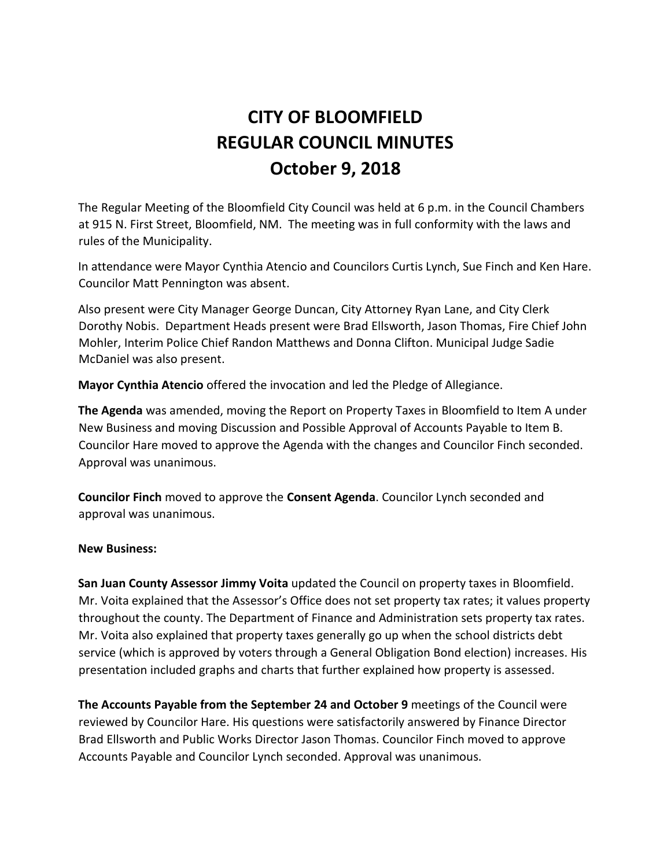# **CITY OF BLOOMFIELD REGULAR COUNCIL MINUTES October 9, 2018**

The Regular Meeting of the Bloomfield City Council was held at 6 p.m. in the Council Chambers at 915 N. First Street, Bloomfield, NM. The meeting was in full conformity with the laws and rules of the Municipality.

In attendance were Mayor Cynthia Atencio and Councilors Curtis Lynch, Sue Finch and Ken Hare. Councilor Matt Pennington was absent.

Also present were City Manager George Duncan, City Attorney Ryan Lane, and City Clerk Dorothy Nobis. Department Heads present were Brad Ellsworth, Jason Thomas, Fire Chief John Mohler, Interim Police Chief Randon Matthews and Donna Clifton. Municipal Judge Sadie McDaniel was also present.

**Mayor Cynthia Atencio** offered the invocation and led the Pledge of Allegiance.

**The Agenda** was amended, moving the Report on Property Taxes in Bloomfield to Item A under New Business and moving Discussion and Possible Approval of Accounts Payable to Item B. Councilor Hare moved to approve the Agenda with the changes and Councilor Finch seconded. Approval was unanimous.

**Councilor Finch** moved to approve the **Consent Agenda**. Councilor Lynch seconded and approval was unanimous.

## **New Business:**

**San Juan County Assessor Jimmy Voita** updated the Council on property taxes in Bloomfield. Mr. Voita explained that the Assessor's Office does not set property tax rates; it values property throughout the county. The Department of Finance and Administration sets property tax rates. Mr. Voita also explained that property taxes generally go up when the school districts debt service (which is approved by voters through a General Obligation Bond election) increases. His presentation included graphs and charts that further explained how property is assessed.

**The Accounts Payable from the September 24 and October 9** meetings of the Council were reviewed by Councilor Hare. His questions were satisfactorily answered by Finance Director Brad Ellsworth and Public Works Director Jason Thomas. Councilor Finch moved to approve Accounts Payable and Councilor Lynch seconded. Approval was unanimous.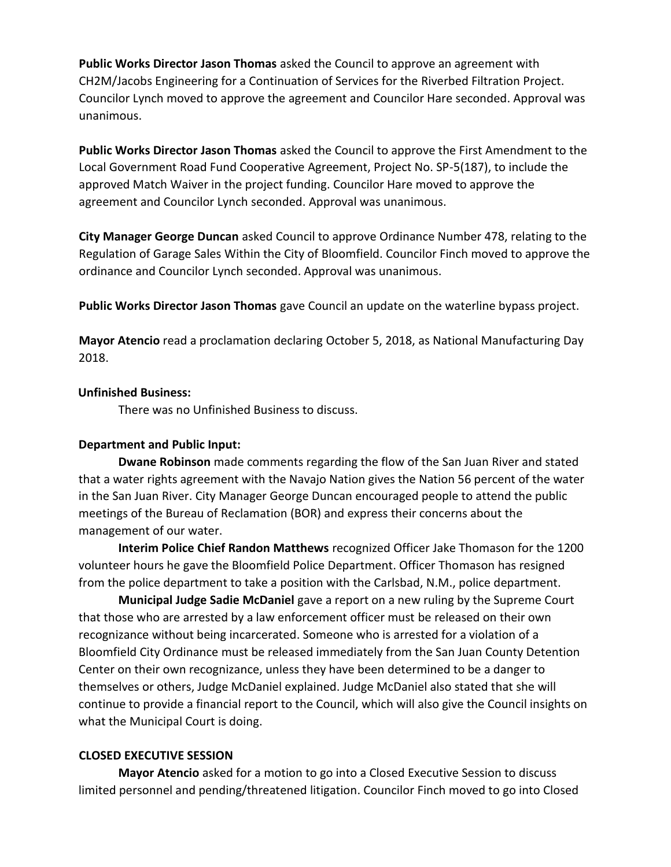**Public Works Director Jason Thomas** asked the Council to approve an agreement with CH2M/Jacobs Engineering for a Continuation of Services for the Riverbed Filtration Project. Councilor Lynch moved to approve the agreement and Councilor Hare seconded. Approval was unanimous.

**Public Works Director Jason Thomas** asked the Council to approve the First Amendment to the Local Government Road Fund Cooperative Agreement, Project No. SP-5(187), to include the approved Match Waiver in the project funding. Councilor Hare moved to approve the agreement and Councilor Lynch seconded. Approval was unanimous.

**City Manager George Duncan** asked Council to approve Ordinance Number 478, relating to the Regulation of Garage Sales Within the City of Bloomfield. Councilor Finch moved to approve the ordinance and Councilor Lynch seconded. Approval was unanimous.

**Public Works Director Jason Thomas** gave Council an update on the waterline bypass project.

**Mayor Atencio** read a proclamation declaring October 5, 2018, as National Manufacturing Day 2018.

## **Unfinished Business:**

There was no Unfinished Business to discuss.

# **Department and Public Input:**

**Dwane Robinson** made comments regarding the flow of the San Juan River and stated that a water rights agreement with the Navajo Nation gives the Nation 56 percent of the water in the San Juan River. City Manager George Duncan encouraged people to attend the public meetings of the Bureau of Reclamation (BOR) and express their concerns about the management of our water.

**Interim Police Chief Randon Matthews** recognized Officer Jake Thomason for the 1200 volunteer hours he gave the Bloomfield Police Department. Officer Thomason has resigned from the police department to take a position with the Carlsbad, N.M., police department.

**Municipal Judge Sadie McDaniel** gave a report on a new ruling by the Supreme Court that those who are arrested by a law enforcement officer must be released on their own recognizance without being incarcerated. Someone who is arrested for a violation of a Bloomfield City Ordinance must be released immediately from the San Juan County Detention Center on their own recognizance, unless they have been determined to be a danger to themselves or others, Judge McDaniel explained. Judge McDaniel also stated that she will continue to provide a financial report to the Council, which will also give the Council insights on what the Municipal Court is doing.

# **CLOSED EXECUTIVE SESSION**

**Mayor Atencio** asked for a motion to go into a Closed Executive Session to discuss limited personnel and pending/threatened litigation. Councilor Finch moved to go into Closed